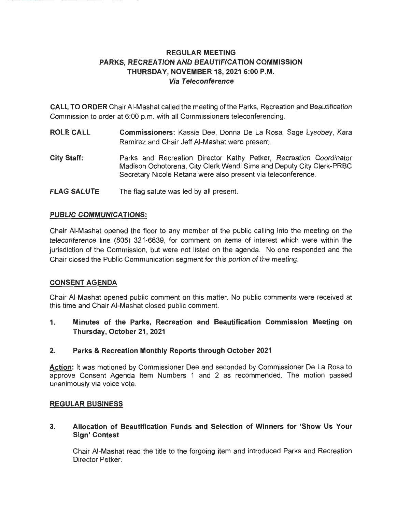## **REGULAR MEETING PARKS, RECREATION AND BEAUTIFICATION COMMISSION THURSDAY, NOVEMBER 18, 2021 6:00 P.M. Via Teleconference**

**CALL TO ORDER** Chair AI-Mashat called the meeting of the Parks, Recreation and Beautification Commission to order at 6:00 p.m. with all Commissioners teleconferencing.

- **ROLE CALL Commissioners:** Kassie Dee, Donna De La Rosa, Sage Lysobey, Kara Ramirez and Chair Jeff AI-Mashat were present.
- **City Staff:**  Parks and Recreation Director Kathy Petker, Recreation Coordinator Madison Ochotorena, City Clerk Wendi Sims and Deputy City Clerk-PRBC Secretary Nicole Retana were also present via teleconference.
- **FLAG SALUTE**  The flag salute was led by all present.

## **PUBLIC COMMUNICATIONS:**

Chair AI-Mashat opened the floor to any member of the public calling into the meeting on the teleconference line (805) 321-6639, for comment on items of interest which were within the jurisdiction of the Commission, but were not listed on the agenda. No one responded and the Chair closed the Public Communication segment for this portion of the meeting.

### **CONSENT AGENDA**

Chair AI-Mashat opened public comment on this matter. No public comments were received at this time and Chair AI-Mashat closed public comment.

**1. Minutes of the Parks, Recreation and Beautification Commission Meeting on Thursday, October 21, 2021** 

## **2. Parks & Recreation Monthly Reports through October 2021**

**Action:** It was motioned by Commissioner Dee and seconded by Commissioner De La Rosa to approve Consent Agenda Item Numbers 1 and 2 as recommended. The motion passed unanimously via voice vote.

### **REGULAR BUSINESS**

### **3. Allocation of Beautification Funds and Selection of Winners for 'Show Us Your Sign' Contest**

Chair AI-Mashat read the title to the forgoing item and introduced Parks and Recreation Director Petker.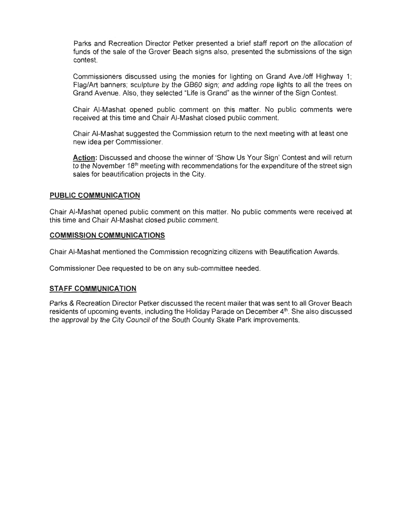Parks and Recreation Director Petker presented a brief staff report on the allocation of funds of the sale of the Grover Beach signs also, presented the submissions of the sign contest.

Commissioners discussed using the monies for lighting on Grand Ave./off Highway 1; Flag/Art banners; sculpture by the GB60 sign; and adding rope lights to all the trees on Grand Avenue. Also, they selected "Life is Grand" as the winner of the Sign Contest.

Chair AI-Mashat opened public comment on this matter. No public comments were received at this time and Chair AI-Mashat closed public comment.

Chair AI-Mashat suggested the Commission return to the next meeting with at least one new idea per Commissioner.

**Action:** Discussed and choose the winner of 'Show Us Your Sign' Contest and will return to the November  $18<sup>th</sup>$  meeting with recommendations for the expenditure of the street sign sales for beautification projects in the City.

#### **PUBLIC COMMUNICATION**

Chair AI-Mashat opened public comment on this matter. No public comments were received at this time and Chair AI-Mashat closed public comment.

#### **COMMISSION COMMUNICATIONS**

Chair AI-Mashat mentioned the Commission recognizing citizens with Beautification Awards.

Commissioner Dee requested to be on any sub-committee needed.

#### **STAFF COMMUNICATION**

Parks & Recreation Director Petker discussed the recent mailer that was sent to all Grover Beach residents of upcoming events, including the Holiday Parade on December 4<sup>th</sup>. She also discussed the approval by the City Council of the South County Skate Park improvements.